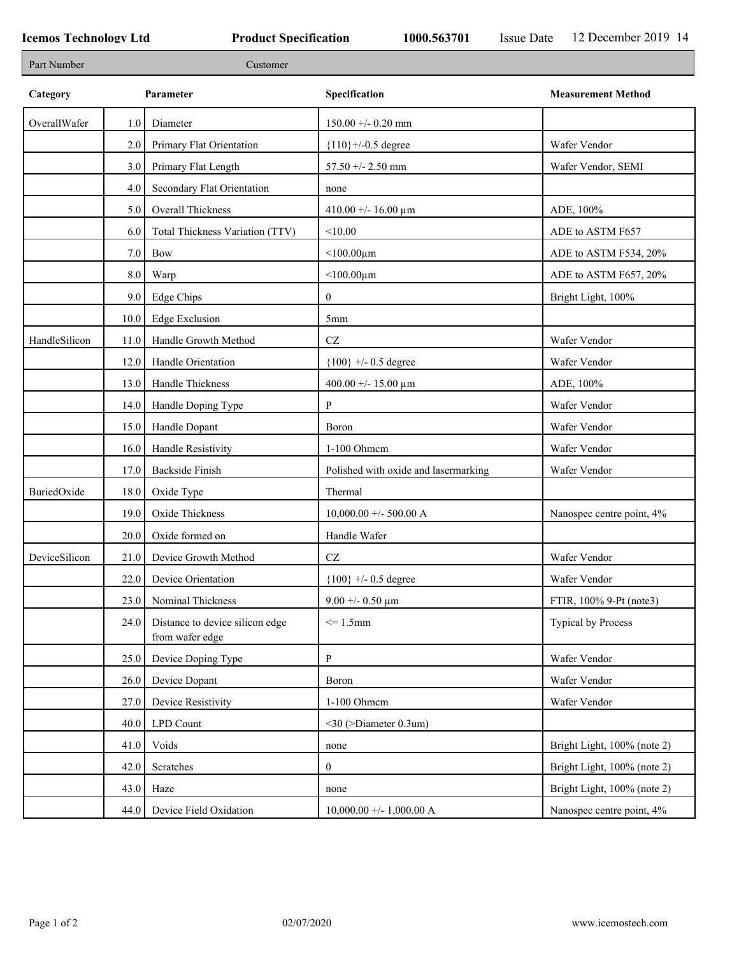| Part Number   |         | Customer                                           |                                      |                             |
|---------------|---------|----------------------------------------------------|--------------------------------------|-----------------------------|
| Category      |         | Parameter                                          | Specification                        | <b>Measurement Method</b>   |
| OverallWafer  | 1.0     | Diameter                                           | $150.00 + - 0.20$ mm                 |                             |
|               | 2.0     | Primary Flat Orientation                           | ${110}$ +/-0.5 degree                | Wafer Vendor                |
|               | 3.0     | Primary Flat Length                                | 57.50 +/- 2.50 mm                    | Wafer Vendor, SEMI          |
|               | 4.0     | Secondary Flat Orientation                         | none                                 |                             |
|               | 5.0     | Overall Thickness                                  | 410.00 +/- 16.00 $\mu$ m             | ADE, 100%                   |
|               | 6.0     | Total Thickness Variation (TTV)                    | < 10.00                              | ADE to ASTM F657            |
|               | $7.0\,$ | <b>Bow</b>                                         | $<$ 100.00 $\mu$ m                   | ADE to ASTM F534, 20%       |
|               | 8.0     | Warp                                               | $<$ 100.00 $\mu$ m                   | ADE to ASTM F657, 20%       |
|               | 9.0     | Edge Chips                                         | $\mathbf{0}$                         | Bright Light, 100%          |
|               | 10.0    | <b>Edge Exclusion</b>                              | 5mm                                  |                             |
| HandleSilicon | 11.0    | Handle Growth Method                               | $\operatorname{CZ}$                  | Wafer Vendor                |
|               | 12.0    | Handle Orientation                                 | ${100}$ +/- 0.5 degree               | Wafer Vendor                |
|               | 13.0    | Handle Thickness                                   | 400.00 +/- 15.00 $\mu$ m             | ADE, 100%                   |
|               | 14.0    | Handle Doping Type                                 | P                                    | Wafer Vendor                |
|               | 15.0    | Handle Dopant                                      | Boron                                | Wafer Vendor                |
|               | 16.0    | Handle Resistivity                                 | 1-100 Ohmem                          | Wafer Vendor                |
|               | 17.0    | <b>Backside Finish</b>                             | Polished with oxide and lasermarking | Wafer Vendor                |
| BuriedOxide   | 18.0    | Oxide Type                                         | Thermal                              |                             |
|               | 19.0    | Oxide Thickness                                    | $10,000.00 +/- 500.00 A$             | Nanospec centre point, 4%   |
|               | 20.0    | Oxide formed on                                    | Handle Wafer                         |                             |
| DeviceSilicon | 21.0    | Device Growth Method                               | $\operatorname{CZ}$                  | Wafer Vendor                |
|               | 22.0    | Device Orientation                                 | ${100}$ +/- 0.5 degree               | Wafer Vendor                |
|               | 23.0    | Nominal Thickness                                  | $9.00 + 0.50 \mu m$                  | FTIR, 100% 9-Pt (note3)     |
|               | 24.0    | Distance to device silicon edge<br>from wafer edge | $= 1.5$ mm                           | <b>Typical by Process</b>   |
|               | 25.0    | Device Doping Type                                 | P                                    | Wafer Vendor                |
|               | 26.0    | Device Dopant                                      | Boron                                | Wafer Vendor                |
|               | 27.0    | Device Resistivity                                 | 1-100 Ohmcm                          | Wafer Vendor                |
|               | 40.0    | LPD Count                                          | $<$ 30 (>Diameter 0.3um)             |                             |
|               | 41.0    | Voids                                              | none                                 | Bright Light, 100% (note 2) |
|               | 42.0    | Scratches                                          | $\boldsymbol{0}$                     | Bright Light, 100% (note 2) |
|               | 43.0    | Haze                                               | none                                 | Bright Light, 100% (note 2) |
|               | 44.0    | Device Field Oxidation                             | $10,000.00 +/- 1,000.00 A$           | Nanospec centre point, 4%   |